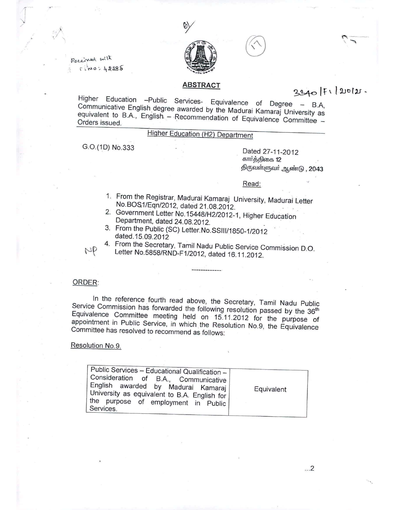

Received with  $7:10:42285$ 

/ J

# $3300$   $|F1|$   $200121$ .

Higher Education -Public Services- Equivalence of Degree - B.A, Communicative English. degree awarded by the Madurai Kamaraj University as equivalent to B.A., English - Recommendation of Equivalence Committee -Orders issued.

**ABSTRACT**

# Higher Education (H2) Department

G.O.(1D) No.333 Dated 27-11-2012

கார்த்திகை 12 திருவள்ளுவர் ஆண்டு , 2043

#### Read:

- 1. From the Registrar, Madurai Kamaraj University, Madurai Leiter No.BOS1/Eqn/2012, dated 21.08.2012.
- 2. Government Letter No.15448/H2/2012-1, Higher Education Department, dated 24.08.2012.
- 3. From the Public (SC) Letter.No.SSIIi/1850-1/2012 dated. 15.09.2012
- 4. From the Secretary, Tamil Nadu Public Service Commission D.O. Letter No.5858/RND-F1/2012, dated 16.11.2012.

#### ORDER:

 $pp$ 

In the reference fourth read above, the Secretary, Tamil Nadu Public Service Commission has forwarded the following resolution passed by the 36<sup>th</sup> Equivalence Committee meeting held on 15.11.2012 for the purpose of appointment in Public Service, in which the Resolution No.9, the Equivalence Committee has resolved to recommend as follows:

#### Resolution No.9.

| Public Services - Educational Qualification -  <br>Consideration of B.A., Communicative<br>  English awarded by Madurai Kamaraj  <br>University as equivalent to B.A. English for I<br>the purpose of employment in Public<br>Services. | Equivalent |
|-----------------------------------------------------------------------------------------------------------------------------------------------------------------------------------------------------------------------------------------|------------|
|-----------------------------------------------------------------------------------------------------------------------------------------------------------------------------------------------------------------------------------------|------------|